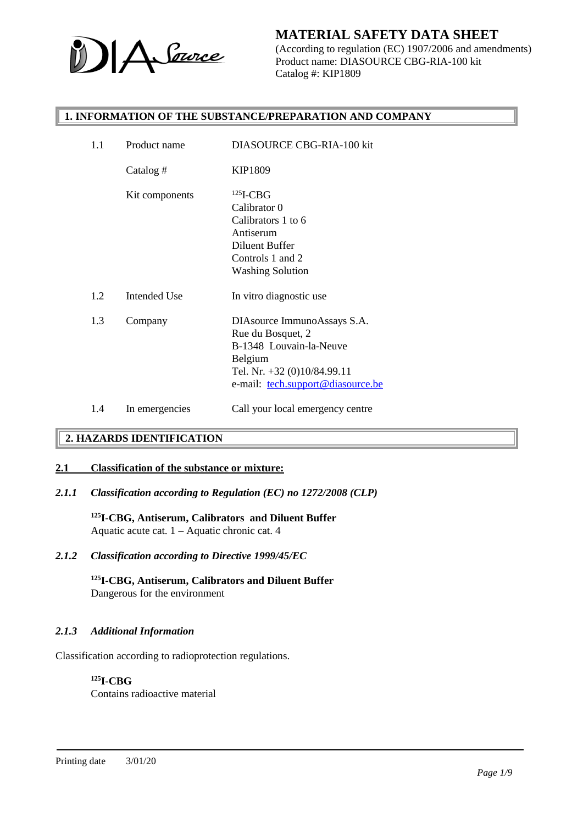

(According to regulation (EC) 1907/2006 and amendments) Product name: DIASOURCE CBG-RIA-100 kit Catalog #: KIP1809

### **1. INFORMATION OF THE SUBSTANCE/PREPARATION AND COMPANY**

| 1.1 | Product name   | DIASOURCE CBG-RIA-100 kit         |
|-----|----------------|-----------------------------------|
|     | Catalog $#$    | KIP1809                           |
|     | Kit components | $125$ I-CBG                       |
|     |                | Calibrator 0                      |
|     |                | Calibrators 1 to 6                |
|     |                | Antiserum                         |
|     |                | Diluent Buffer                    |
|     |                | Controls 1 and 2                  |
|     |                | <b>Washing Solution</b>           |
| 1.2 | Intended Use   | In vitro diagnostic use           |
| 1.3 | Company        | DIAsource ImmunoAssays S.A.       |
|     |                | Rue du Bosquet, 2                 |
|     |                | B-1348 Louvain-la-Neuve           |
|     |                | Belgium                           |
|     |                | Tel. Nr. +32 (0)10/84.99.11       |
|     |                | e-mail: tech.support@diasource.be |
| 1.4 | In emergencies | Call your local emergency centre  |
|     |                |                                   |

# **2. HAZARDS IDENTIFICATION**

### **2.1 Classification of the substance or mixture:**

*2.1.1 Classification according to Regulation (EC) no 1272/2008 (CLP)*

**<sup>125</sup>I-CBG, Antiserum, Calibrators and Diluent Buffer** Aquatic acute cat. 1 – Aquatic chronic cat. 4

*2.1.2 Classification according to Directive 1999/45/EC*

**<sup>125</sup>I-CBG, Antiserum, Calibrators and Diluent Buffer** Dangerous for the environment

### *2.1.3 Additional Information*

Classification according to radioprotection regulations.

#### **<sup>125</sup>I-CBG**

Contains radioactive material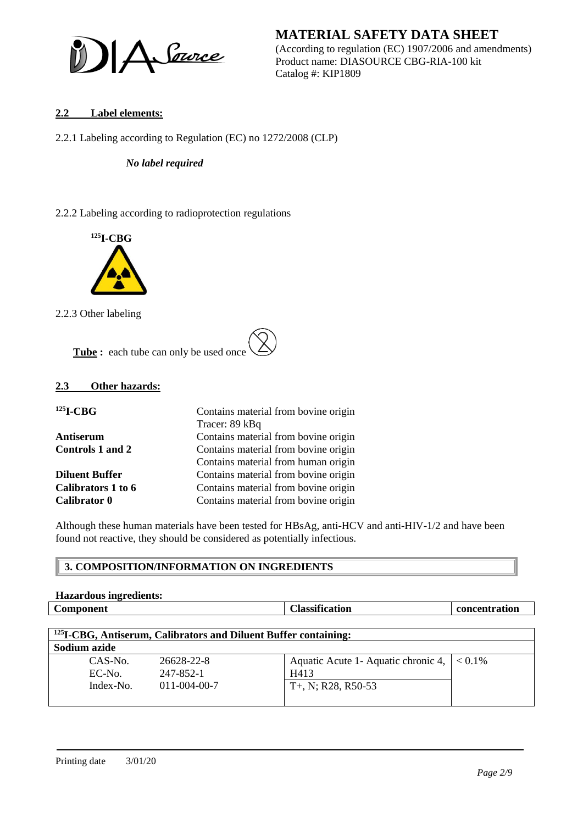

**MATERIAL SAFETY DATA SHEET** (According to regulation (EC) 1907/2006 and amendments) Product name: DIASOURCE CBG-RIA-100 kit Catalog #: KIP1809

## **2.2 Label elements:**

2.2.1 Labeling according to Regulation (EC) no 1272/2008 (CLP)

*No label required*

2.2.2 Labeling according to radioprotection regulations



2.2.3 Other labeling

**Tube :** each tube can only be used once

#### **2.3 Other hazards:**

| $125$ <b>I-CBG</b>    | Contains material from bovine origin<br>Tracer: 89 kBq |
|-----------------------|--------------------------------------------------------|
| Antiserum             | Contains material from bovine origin                   |
| Controls 1 and 2      | Contains material from bovine origin                   |
|                       | Contains material from human origin                    |
| <b>Diluent Buffer</b> | Contains material from bovine origin                   |
| Calibrators 1 to 6    | Contains material from bovine origin                   |
| <b>Calibrator 0</b>   | Contains material from bovine origin                   |

Although these human materials have been tested for HBsAg, anti-HCV and anti-HIV-1/2 and have been found not reactive, they should be considered as potentially infectious.

# **3. COMPOSITION/INFORMATION ON INGREDIENTS**

| <b>Hazardous ingredients:</b> |                       |               |
|-------------------------------|-----------------------|---------------|
| <b>Component</b>              | <b>Classification</b> | concentration |
|                               |                       |               |

| <sup>125</sup> I-CBG, Antiserum, Calibrators and Diluent Buffer containing: |                                                 |                                                                                 |  |
|-----------------------------------------------------------------------------|-------------------------------------------------|---------------------------------------------------------------------------------|--|
| Sodium azide                                                                |                                                 |                                                                                 |  |
| $CAS-N0$ .<br>EC-No.<br>Index-No.                                           | 26628-22-8<br>247-852-1<br>$011 - 004 - 00 - 7$ | Aquatic Acute 1- Aquatic chronic 4, $ $ < 0.1%<br>H413<br>$T+$ , N; R28, R50-53 |  |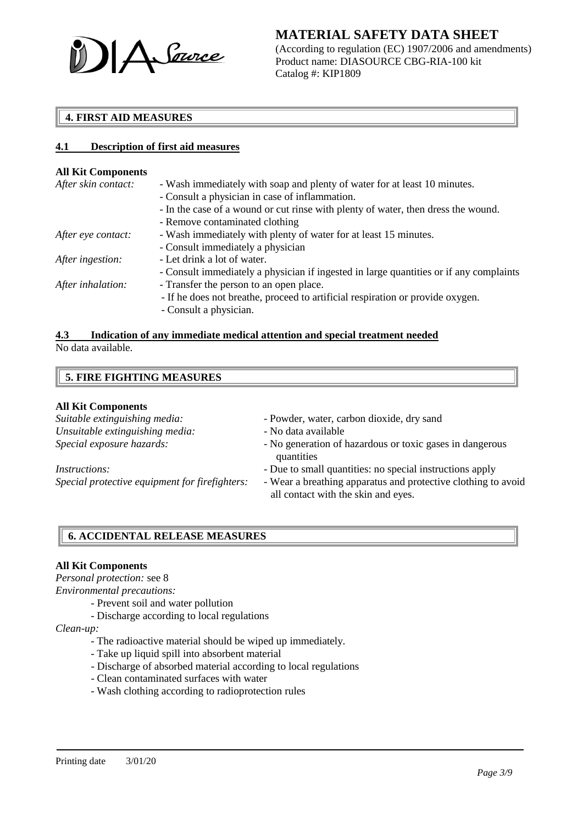

(According to regulation (EC) 1907/2006 and amendments) Product name: DIASOURCE CBG-RIA-100 kit Catalog #: KIP1809

# **4. FIRST AID MEASURES**

### **4.1 Description of first aid measures**

#### **All Kit Components**

| After skin contact: | - Wash immediately with soap and plenty of water for at least 10 minutes.              |
|---------------------|----------------------------------------------------------------------------------------|
|                     | - Consult a physician in case of inflammation.                                         |
|                     | - In the case of a wound or cut rinse with plenty of water, then dress the wound.      |
|                     | - Remove contaminated clothing                                                         |
| After eye contact:  | - Wash immediately with plenty of water for at least 15 minutes.                       |
|                     | - Consult immediately a physician                                                      |
| After ingestion:    | - Let drink a lot of water.                                                            |
|                     | - Consult immediately a physician if ingested in large quantities or if any complaints |
| After inhalation:   | - Transfer the person to an open place.                                                |
|                     | - If he does not breathe, proceed to artificial respiration or provide oxygen.         |
|                     | - Consult a physician.                                                                 |
|                     |                                                                                        |

#### **4.3 Indication of any immediate medical attention and special treatment needed** No data available.

# **5. FIRE FIGHTING MEASURES**

#### **All Kit Components**

*Unsuitable extinguishing media:* - No data available

- *Suitable extinguishing media:* Powder, water, carbon dioxide, dry sand
	-
- *Special exposure hazards:*  $\overline{\phantom{a}}$  No generation of hazardous or toxic gases in dangerous quantities
- *Instructions:*  $\qquad \qquad$  Due to small quantities: no special instructions apply
- *Special protective equipment for firefighters: -* Wear a breathing apparatus and protective clothing to avoid all contact with the skin and eyes.

# **6. ACCIDENTAL RELEASE MEASURES**

### **All Kit Components**

*Personal protection:* see 8

*Environmental precautions:*

- *-* Prevent soil and water pollution
- Discharge according to local regulations

#### *Clean-up:*

- The radioactive material should be wiped up immediately.
- Take up liquid spill into absorbent material
- Discharge of absorbed material according to local regulations
- Clean contaminated surfaces with water
- Wash clothing according to radioprotection rules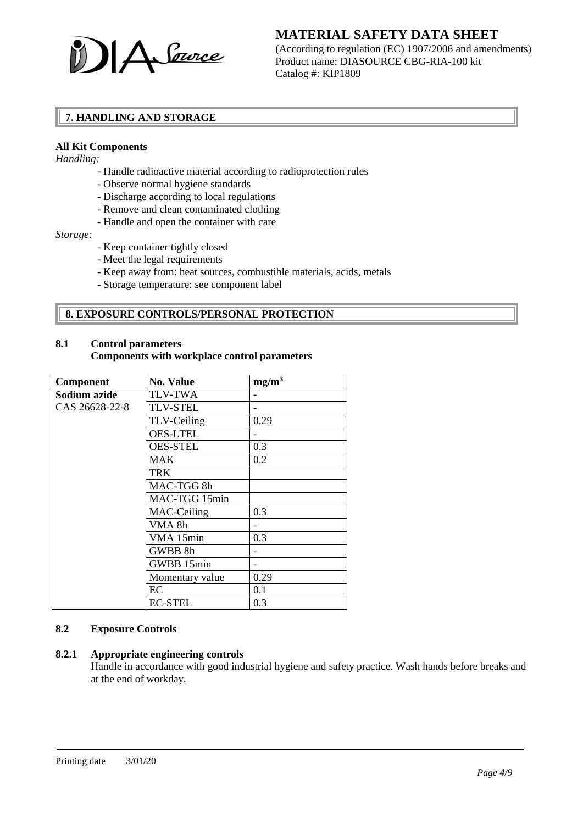

(According to regulation (EC) 1907/2006 and amendments) Product name: DIASOURCE CBG-RIA-100 kit Catalog #: KIP1809

# **7. HANDLING AND STORAGE**

## **All Kit Components**

*Handling:*

- Handle radioactive material according to radioprotection rules
- Observe normal hygiene standards
- Discharge according to local regulations
- Remove and clean contaminated clothing
- Handle and open the container with care

*Storage:*

- Keep container tightly closed
- Meet the legal requirements
- Keep away from: heat sources, combustible materials, acids, metals
- Storage temperature: see component label

# **8. EXPOSURE CONTROLS/PERSONAL PROTECTION**

## **8.1 Control parameters Components with workplace control parameters**

| Component      | <b>No. Value</b> | $mg/m^3$ |
|----------------|------------------|----------|
| Sodium azide   | <b>TLV-TWA</b>   |          |
| CAS 26628-22-8 | <b>TLV-STEL</b>  |          |
|                | TLV-Ceiling      | 0.29     |
|                | <b>OES-LTEL</b>  |          |
|                | <b>OES-STEL</b>  | 0.3      |
|                | <b>MAK</b>       | 0.2      |
|                | <b>TRK</b>       |          |
|                | MAC-TGG 8h       |          |
|                | MAC-TGG 15min    |          |
|                | MAC-Ceiling      | 0.3      |
|                | VMA 8h           |          |
|                | VMA 15min        | 0.3      |
|                | GWBB 8h          |          |
|                | GWBB 15min       |          |
|                | Momentary value  | 0.29     |
|                | EC               | 0.1      |
|                | <b>EC-STEL</b>   | 0.3      |

### **8.2 Exposure Controls**

### **8.2.1 Appropriate engineering controls**

Handle in accordance with good industrial hygiene and safety practice. Wash hands before breaks and at the end of workday.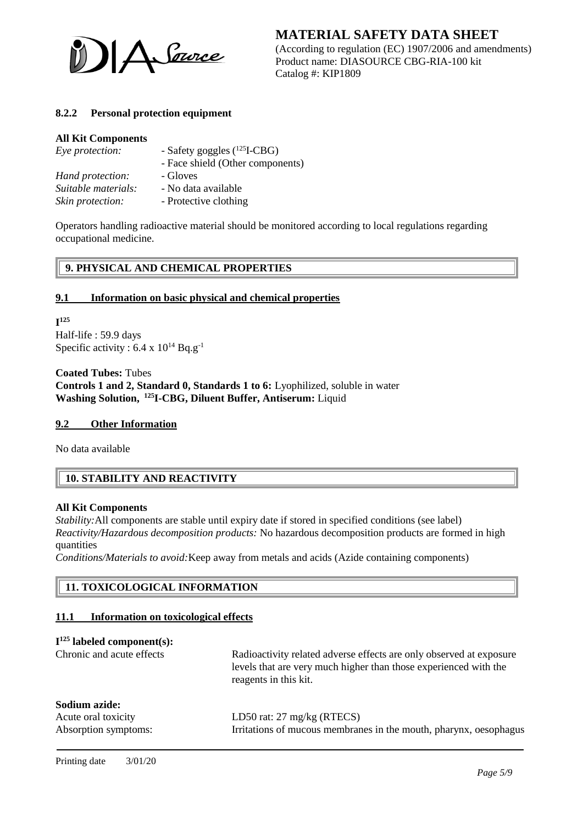

(According to regulation (EC) 1907/2006 and amendments) Product name: DIASOURCE CBG-RIA-100 kit Catalog #: KIP1809

## **8.2.2 Personal protection equipment**

#### **All Kit Components**

| Eye protection:     | - Safety goggles $(^{125}I\text{-}CBG)$ |  |
|---------------------|-----------------------------------------|--|
|                     | - Face shield (Other components)        |  |
| Hand protection:    | - Gloves                                |  |
| Suitable materials: | - No data available                     |  |
| Skin protection:    | - Protective clothing                   |  |

Operators handling radioactive material should be monitored according to local regulations regarding occupational medicine.

# **9. PHYSICAL AND CHEMICAL PROPERTIES**

### **9.1 Information on basic physical and chemical properties**

**I 125** Half-life : 59.9 days Specific activity :  $6.4 \times 10^{14}$  Bq.g<sup>-1</sup>

**Coated Tubes:** Tubes **Controls 1 and 2, Standard 0, Standards 1 to 6:** Lyophilized, soluble in water **Washing Solution, <sup>125</sup> I-CBG, Diluent Buffer, Antiserum:** Liquid

### **9.2 Other Information**

No data available

# **10. STABILITY AND REACTIVITY**

#### **All Kit Components**

*Stability:*All components are stable until expiry date if stored in specified conditions (see label) *Reactivity/Hazardous decomposition products:* No hazardous decomposition products are formed in high quantities

*Conditions/Materials to avoid:*Keep away from metals and acids (Azide containing components)

# **11. TOXICOLOGICAL INFORMATION**

#### **11.1 Information on toxicological effects**

| $I125$ labeled component(s):         |                                                                                                                                                                  |
|--------------------------------------|------------------------------------------------------------------------------------------------------------------------------------------------------------------|
| Chronic and acute effects            | Radioactivity related adverse effects are only observed at exposure<br>levels that are very much higher than those experienced with the<br>reagents in this kit. |
| Sodium azide:<br>Acute oral toxicity | LD50 rat: $27 \text{ mg/kg}$ (RTECS)                                                                                                                             |
| Absorption symptoms:                 | Irritations of mucous membranes in the mouth, pharynx, oesophagus                                                                                                |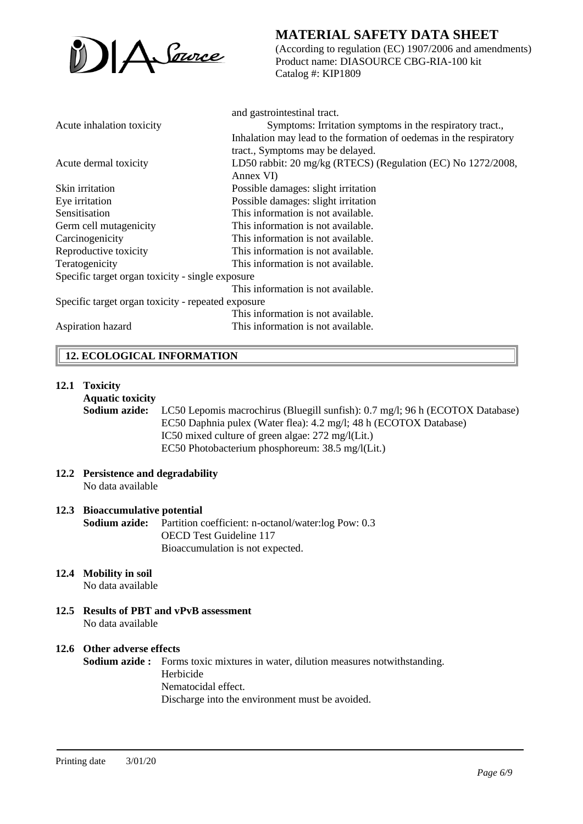

(According to regulation (EC) 1907/2006 and amendments) Product name: DIASOURCE CBG-RIA-100 kit Catalog #: KIP1809

|                                                    | and gastrointestinal tract.                                        |
|----------------------------------------------------|--------------------------------------------------------------------|
| Acute inhalation toxicity                          | Symptoms: Irritation symptoms in the respiratory tract.,           |
|                                                    | Inhalation may lead to the formation of oedemas in the respiratory |
|                                                    | tract., Symptoms may be delayed.                                   |
| Acute dermal toxicity                              | LD50 rabbit: 20 mg/kg (RTECS) (Regulation (EC) No 1272/2008,       |
|                                                    | Annex VI)                                                          |
| Skin irritation                                    | Possible damages: slight irritation                                |
| Eye irritation                                     | Possible damages: slight irritation                                |
| Sensitisation                                      | This information is not available.                                 |
| Germ cell mutagenicity                             | This information is not available.                                 |
| Carcinogenicity                                    | This information is not available.                                 |
| Reproductive toxicity                              | This information is not available.                                 |
| Teratogenicity                                     | This information is not available.                                 |
| Specific target organ toxicity - single exposure   |                                                                    |
|                                                    | This information is not available.                                 |
| Specific target organ toxicity - repeated exposure |                                                                    |
|                                                    | This information is not available.                                 |
| Aspiration hazard                                  | This information is not available.                                 |

# **12. ECOLOGICAL INFORMATION**

### **12.1 Toxicity**

**Aquatic toxicity**

**Sodium azide:** LC50 Lepomis macrochirus (Bluegill sunfish): 0.7 mg/l; 96 h (ECOTOX Database) EC50 Daphnia pulex (Water flea): 4.2 mg/l; 48 h (ECOTOX Database) IC50 mixed culture of green algae: 272 mg/l(Lit.) EC50 Photobacterium phosphoreum: 38.5 mg/l(Lit.)

#### **12.2 Persistence and degradability** No data available

# **12.3 Bioaccumulative potential**

**Sodium azide:** Partition coefficient: n-octanol/water:log Pow: 0.3 OECD Test Guideline 117 Bioaccumulation is not expected.

# **12.4 Mobility in soil**

No data available

**12.5 Results of PBT and vPvB assessment** No data available

# **12.6 Other adverse effects**

**Sodium azide :** Forms toxic mixtures in water, dilution measures notwithstanding. Herbicide Nematocidal effect. Discharge into the environment must be avoided.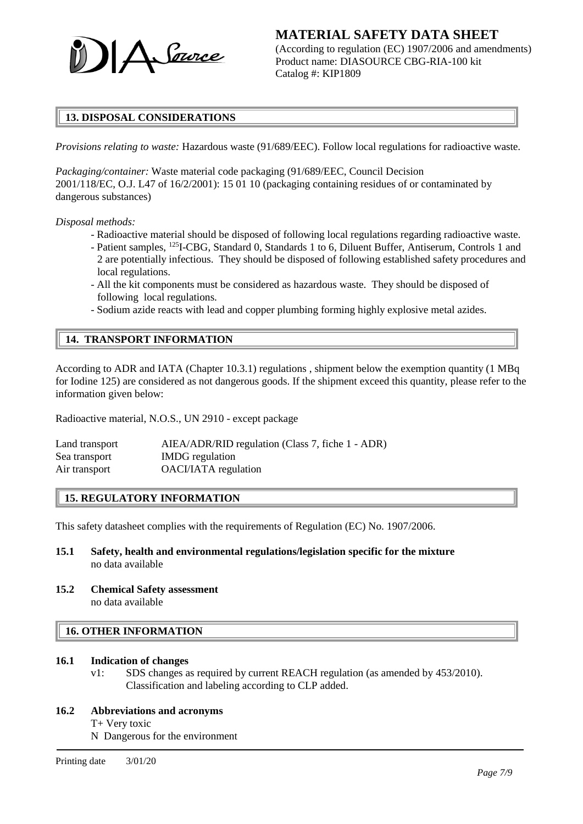

(According to regulation (EC) 1907/2006 and amendments) Product name: DIASOURCE CBG-RIA-100 kit Catalog #: KIP1809

# **13. DISPOSAL CONSIDERATIONS**

*Provisions relating to waste:* Hazardous waste (91/689/EEC). Follow local regulations for radioactive waste.

*Packaging/container:* Waste material code packaging (91/689/EEC, Council Decision 2001/118/EC, O.J. L47 of 16/2/2001): 15 01 10 (packaging containing residues of or contaminated by dangerous substances)

*Disposal methods:*

- Radioactive material should be disposed of following local regulations regarding radioactive waste.
- Patient samples, <sup>125</sup>I-CBG, Standard 0, Standards 1 to 6, Diluent Buffer, Antiserum, Controls 1 and 2 are potentially infectious. They should be disposed of following established safety procedures and local regulations.
- All the kit components must be considered as hazardous waste. They should be disposed of following local regulations.
- Sodium azide reacts with lead and copper plumbing forming highly explosive metal azides.

## **14. TRANSPORT INFORMATION**

According to ADR and IATA (Chapter 10.3.1) regulations , shipment below the exemption quantity (1 MBq for Iodine 125) are considered as not dangerous goods. If the shipment exceed this quantity, please refer to the information given below:

Radioactive material, N.O.S., UN 2910 - except package

| Land transport | AIEA/ADR/RID regulation (Class 7, fiche 1 - ADR) |
|----------------|--------------------------------------------------|
| Sea transport  | <b>IMDG</b> regulation                           |
| Air transport  | <b>OACI/IATA</b> regulation                      |

### **15. REGULATORY INFORMATION**

This safety datasheet complies with the requirements of Regulation (EC) No. 1907/2006.

- **15.1 Safety, health and environmental regulations/legislation specific for the mixture** no data available
- **15.2 Chemical Safety assessment** no data available

## **16. OTHER INFORMATION**

### **16.1 Indication of changes**

v1: SDS changes as required by current REACH regulation (as amended by 453/2010). Classification and labeling according to CLP added.

### **16.2 Abbreviations and acronyms**

T+ Very toxic

N Dangerous for the environment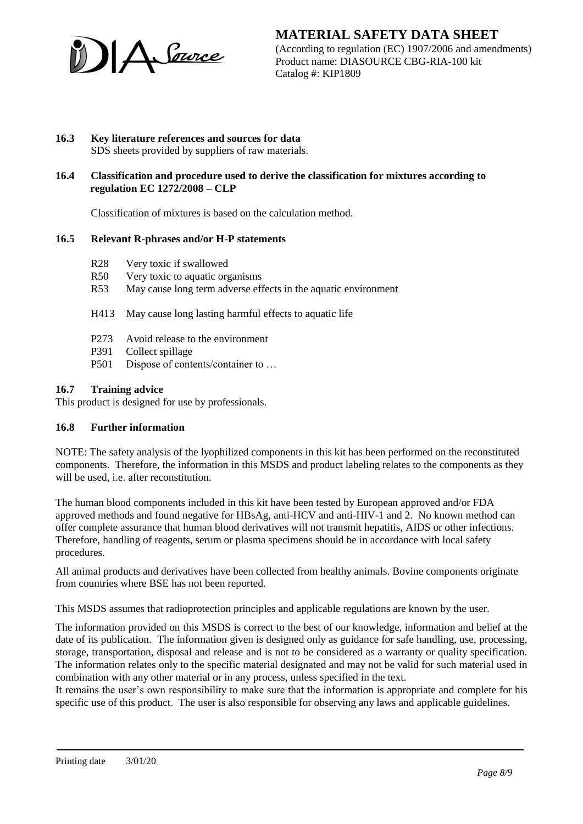

(According to regulation (EC) 1907/2006 and amendments) Product name: DIASOURCE CBG-RIA-100 kit Catalog #: KIP1809

#### **16.3 Key literature references and sources for data** SDS sheets provided by suppliers of raw materials.

## **16.4 Classification and procedure used to derive the classification for mixtures according to regulation EC 1272/2008 – CLP**

Classification of mixtures is based on the calculation method.

## **16.5 Relevant R-phrases and/or H-P statements**

- R28 Very toxic if swallowed
- R50 Very toxic to aquatic organisms
- R53 May cause long term adverse effects in the aquatic environment

H413 May cause long lasting harmful effects to aquatic life

- P273 Avoid release to the environment
- P391 Collect spillage
- P501 Dispose of contents/container to ...

#### **16.7 Training advice**

This product is designed for use by professionals.

### **16.8 Further information**

NOTE: The safety analysis of the lyophilized components in this kit has been performed on the reconstituted components. Therefore, the information in this MSDS and product labeling relates to the components as they will be used, i.e. after reconstitution.

The human blood components included in this kit have been tested by European approved and/or FDA approved methods and found negative for HBsAg, anti-HCV and anti-HIV-1 and 2. No known method can offer complete assurance that human blood derivatives will not transmit hepatitis, AIDS or other infections. Therefore, handling of reagents, serum or plasma specimens should be in accordance with local safety procedures.

All animal products and derivatives have been collected from healthy animals. Bovine components originate from countries where BSE has not been reported.

This MSDS assumes that radioprotection principles and applicable regulations are known by the user.

The information provided on this MSDS is correct to the best of our knowledge, information and belief at the date of its publication. The information given is designed only as guidance for safe handling, use, processing, storage, transportation, disposal and release and is not to be considered as a warranty or quality specification. The information relates only to the specific material designated and may not be valid for such material used in combination with any other material or in any process, unless specified in the text.

It remains the user's own responsibility to make sure that the information is appropriate and complete for his specific use of this product. The user is also responsible for observing any laws and applicable guidelines.